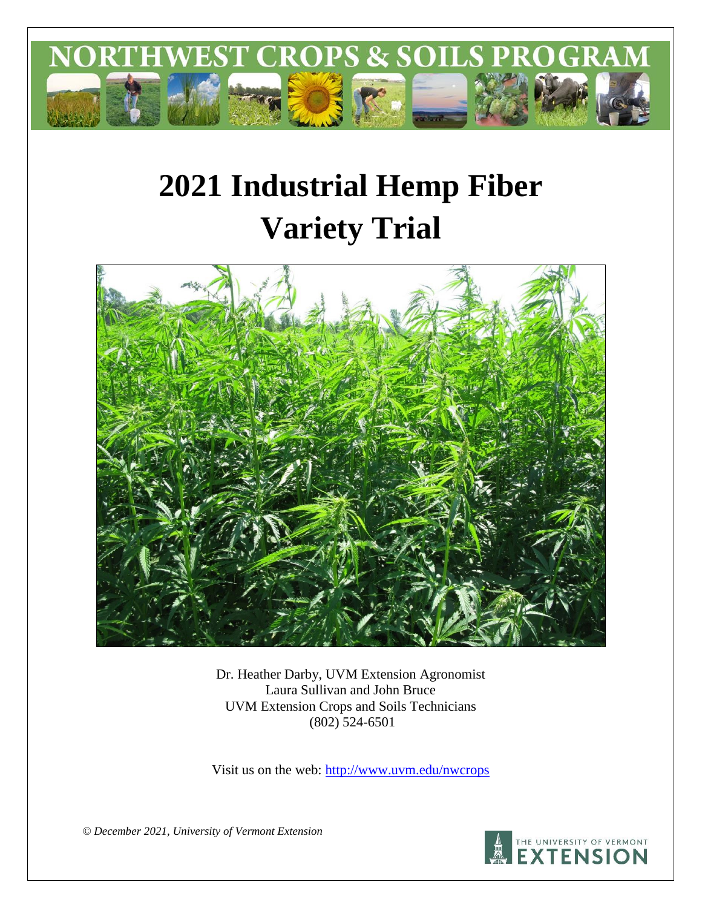

# **2021 Industrial Hemp Fiber Variety Trial**



Dr. Heather Darby, UVM Extension Agronomist Laura Sullivan and John Bruce UVM Extension Crops and Soils Technicians (802) 524-6501

Visit us on the web:<http://www.uvm.edu/nwcrops>

*© December 2021, University of Vermont Extension* 

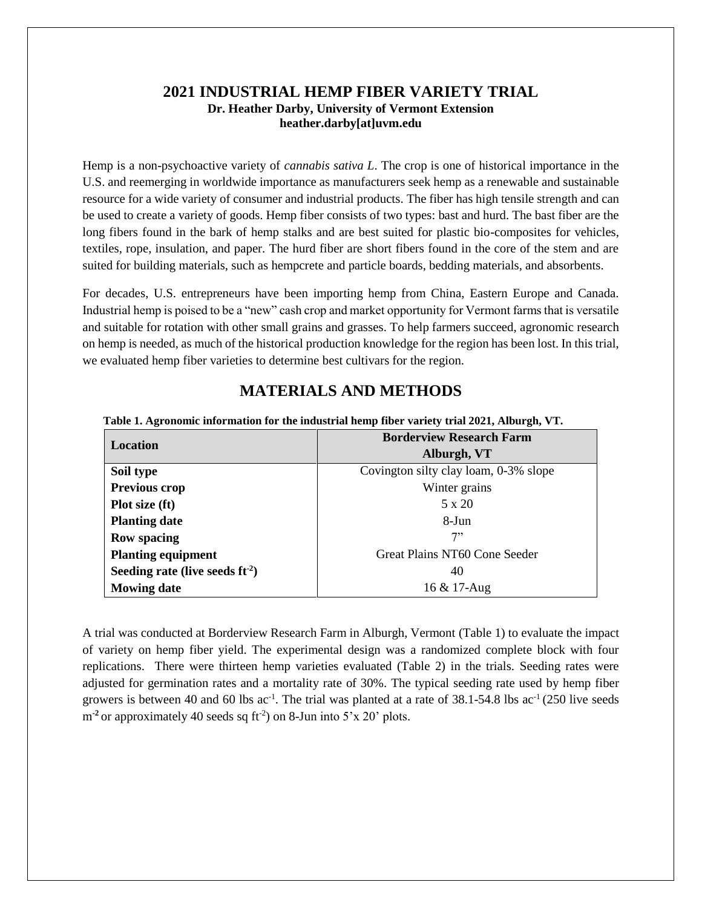## **2021 INDUSTRIAL HEMP FIBER VARIETY TRIAL Dr. Heather Darby, University of Vermont Extension heather.darby[at]uvm.edu**

Hemp is a non-psychoactive variety of *cannabis sativa L*. The crop is one of historical importance in the U.S. and reemerging in worldwide importance as manufacturers seek hemp as a renewable and sustainable resource for a wide variety of consumer and industrial products. The fiber has high tensile strength and can be used to create a variety of goods. Hemp fiber consists of two types: bast and hurd. The bast fiber are the long fibers found in the bark of hemp stalks and are best suited for plastic bio-composites for vehicles, textiles, rope, insulation, and paper. The hurd fiber are short fibers found in the core of the stem and are suited for building materials, such as hempcrete and particle boards, bedding materials, and absorbents.

For decades, U.S. entrepreneurs have been importing hemp from China, Eastern Europe and Canada. Industrial hemp is poised to be a "new" cash crop and market opportunity for Vermont farms that is versatile and suitable for rotation with other small grains and grasses. To help farmers succeed, agronomic research on hemp is needed, as much of the historical production knowledge for the region has been lost. In this trial, we evaluated hemp fiber varieties to determine best cultivars for the region.

# **MATERIALS AND METHODS**

#### **Table 1. Agronomic information for the industrial hemp fiber variety trial 2021, Alburgh, VT.**

| Location                          | <b>Borderview Research Farm</b>       |  |  |
|-----------------------------------|---------------------------------------|--|--|
|                                   | Alburgh, VT                           |  |  |
| Soil type                         | Covington silty clay loam, 0-3% slope |  |  |
| Previous crop                     | Winter grains                         |  |  |
| Plot size (ft)                    | $5 \times 20$                         |  |  |
| <b>Planting date</b>              | $8-J$ un                              |  |  |
| <b>Row spacing</b>                | 7"                                    |  |  |
| <b>Planting equipment</b>         | Great Plains NT60 Cone Seeder         |  |  |
| Seeding rate (live seeds $ft-2$ ) | 40                                    |  |  |
| <b>Mowing date</b>                | 16 & 17-Aug                           |  |  |

A trial was conducted at Borderview Research Farm in Alburgh, Vermont (Table 1) to evaluate the impact of variety on hemp fiber yield. The experimental design was a randomized complete block with four replications. There were thirteen hemp varieties evaluated (Table 2) in the trials. Seeding rates were adjusted for germination rates and a mortality rate of 30%. The typical seeding rate used by hemp fiber growers is between 40 and 60 lbs ac<sup>-1</sup>. The trial was planted at a rate of 38.1-54.8 lbs ac<sup>-1</sup> (250 live seeds m<sup>-2</sup> or approximately 40 seeds sq ft<sup>-2</sup>) on 8-Jun into 5'x 20' plots.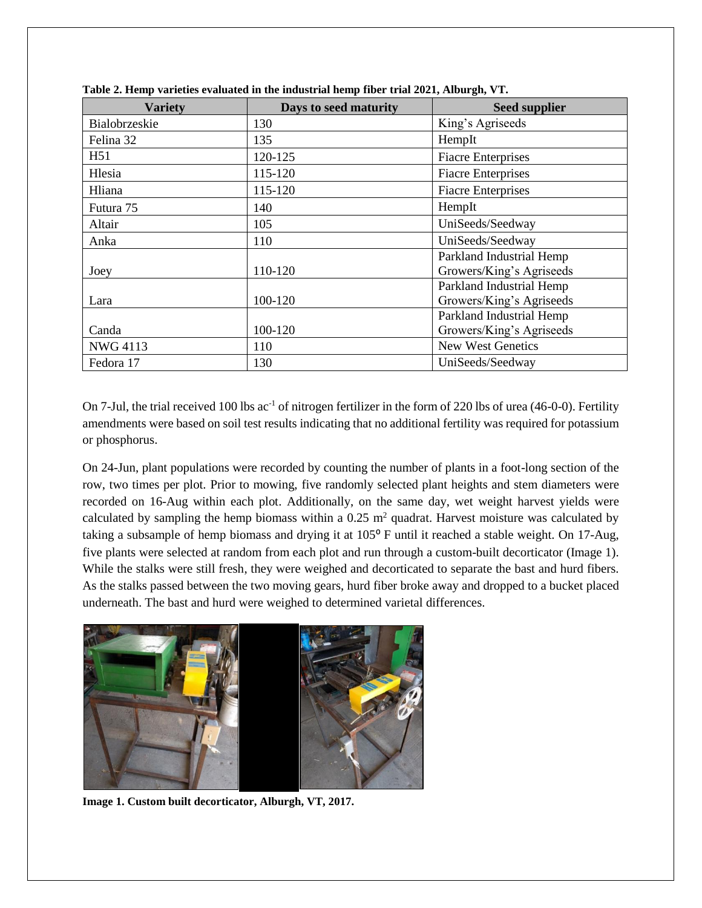| <b>Variety</b>  | Days to seed maturity | <b>Seed supplier</b>      |
|-----------------|-----------------------|---------------------------|
| Bialobrzeskie   | 130                   | King's Agriseeds          |
| Felina 32       | 135                   | HempIt                    |
| H51             | 120-125               | <b>Fiacre Enterprises</b> |
| Hlesia          | 115-120               | <b>Fiacre Enterprises</b> |
| Hliana          | 115-120               | <b>Fiacre Enterprises</b> |
| Futura 75       | 140                   | HempIt                    |
| Altair          | 105                   | UniSeeds/Seedway          |
| Anka            | 110                   | UniSeeds/Seedway          |
|                 |                       | Parkland Industrial Hemp  |
| Joey            | 110-120               | Growers/King's Agriseeds  |
|                 |                       | Parkland Industrial Hemp  |
| Lara            | 100-120               | Growers/King's Agriseeds  |
|                 |                       | Parkland Industrial Hemp  |
| Canda           | 100-120               | Growers/King's Agriseeds  |
| <b>NWG 4113</b> | 110                   | New West Genetics         |
| Fedora 17       | 130                   | UniSeeds/Seedway          |

**Table 2. Hemp varieties evaluated in the industrial hemp fiber trial 2021, Alburgh, VT.**

On 7-Jul, the trial received 100 lbs ac<sup>-1</sup> of nitrogen fertilizer in the form of 220 lbs of urea (46-0-0). Fertility amendments were based on soil test results indicating that no additional fertility was required for potassium or phosphorus.

On 24-Jun, plant populations were recorded by counting the number of plants in a foot-long section of the row, two times per plot. Prior to mowing, five randomly selected plant heights and stem diameters were recorded on 16-Aug within each plot. Additionally, on the same day, wet weight harvest yields were calculated by sampling the hemp biomass within a  $0.25$  m<sup>2</sup> quadrat. Harvest moisture was calculated by taking a subsample of hemp biomass and drying it at 105<sup>°</sup> F until it reached a stable weight. On 17-Aug, five plants were selected at random from each plot and run through a custom-built decorticator (Image 1). While the stalks were still fresh, they were weighed and decorticated to separate the bast and hurd fibers. As the stalks passed between the two moving gears, hurd fiber broke away and dropped to a bucket placed underneath. The bast and hurd were weighed to determined varietal differences.



**Image 1. Custom built decorticator, Alburgh, VT, 2017.**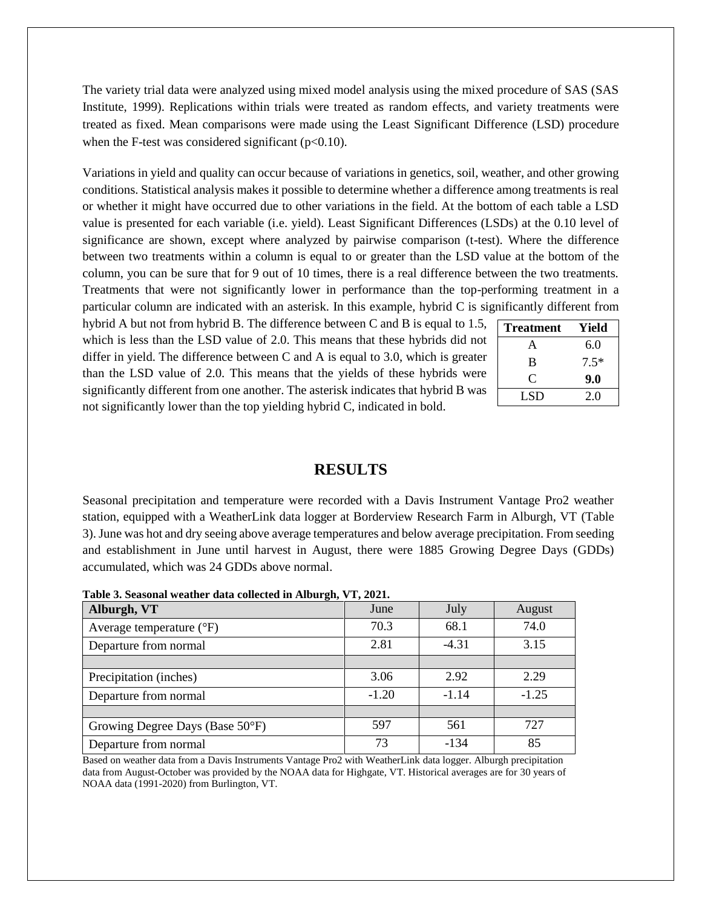The variety trial data were analyzed using mixed model analysis using the mixed procedure of SAS (SAS Institute, 1999). Replications within trials were treated as random effects, and variety treatments were treated as fixed. Mean comparisons were made using the Least Significant Difference (LSD) procedure when the F-test was considered significant ( $p<0.10$ ).

Variations in yield and quality can occur because of variations in genetics, soil, weather, and other growing conditions. Statistical analysis makes it possible to determine whether a difference among treatments is real or whether it might have occurred due to other variations in the field. At the bottom of each table a LSD value is presented for each variable (i.e. yield). Least Significant Differences (LSDs) at the 0.10 level of significance are shown, except where analyzed by pairwise comparison (t-test). Where the difference between two treatments within a column is equal to or greater than the LSD value at the bottom of the column, you can be sure that for 9 out of 10 times, there is a real difference between the two treatments. Treatments that were not significantly lower in performance than the top-performing treatment in a particular column are indicated with an asterisk. In this example, hybrid C is significantly different from

hybrid A but not from hybrid B. The difference between C and B is equal to 1.5, which is less than the LSD value of 2.0. This means that these hybrids did not differ in yield. The difference between C and A is equal to 3.0, which is greater than the LSD value of 2.0. This means that the yields of these hybrids were significantly different from one another. The asterisk indicates that hybrid B was not significantly lower than the top yielding hybrid C, indicated in bold.

| <b>Treatment</b> | Yield  |
|------------------|--------|
| $\mathsf{A}$     | 6.0    |
| B                | $7.5*$ |
| $\mathbf C$      | 9.0    |
| <b>LSD</b>       | 2.0    |

#### **RESULTS**

Seasonal precipitation and temperature were recorded with a Davis Instrument Vantage Pro2 weather station, equipped with a WeatherLink data logger at Borderview Research Farm in Alburgh, VT (Table 3). June was hot and dry seeing above average temperatures and below average precipitation. From seeding and establishment in June until harvest in August, there were 1885 Growing Degree Days (GDDs) accumulated, which was 24 GDDs above normal.

**Table 3. Seasonal weather data collected in Alburgh, VT, 2021.**

| <u>。</u><br>Alburgh, VT           | June    | July    | August  |
|-----------------------------------|---------|---------|---------|
| Average temperature $(^{\circ}F)$ | 70.3    | 68.1    | 74.0    |
| Departure from normal             | 2.81    | $-4.31$ | 3.15    |
|                                   |         |         |         |
| Precipitation (inches)            | 3.06    | 2.92    | 2.29    |
| Departure from normal             | $-1.20$ | $-1.14$ | $-1.25$ |
|                                   |         |         |         |
| Growing Degree Days (Base 50°F)   | 597     | 561     | 727     |
| Departure from normal             | 73      | $-134$  | 85      |

Based on weather data from a Davis Instruments Vantage Pro2 with WeatherLink data logger. Alburgh precipitation data from August-October was provided by the NOAA data for Highgate, VT. Historical averages are for 30 years of NOAA data (1991-2020) from Burlington, VT.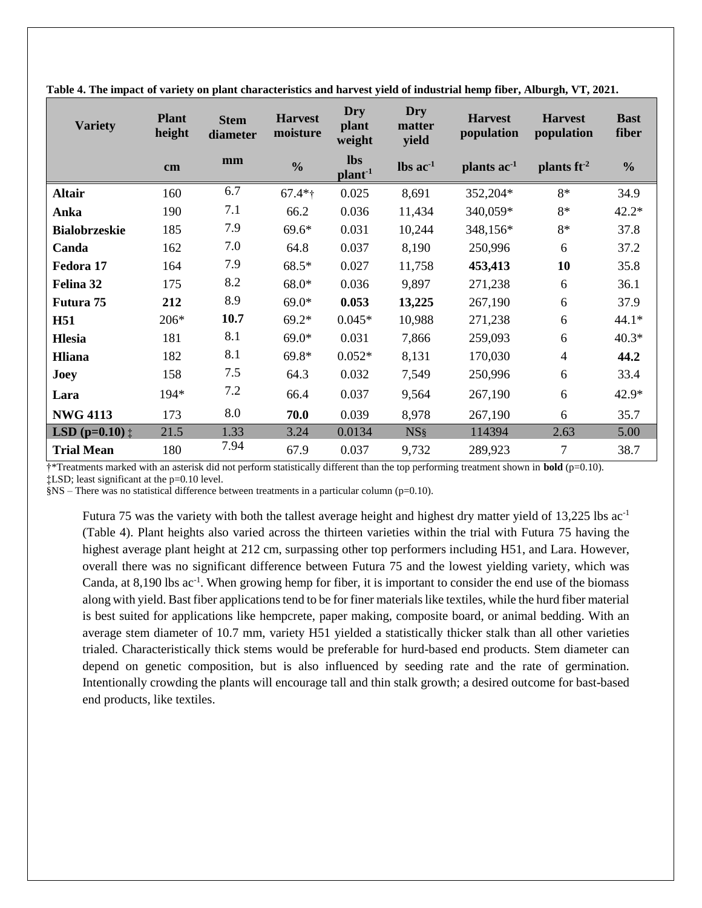| <b>Variety</b>                     | <b>Plant</b><br>height | <b>Stem</b><br>diameter | <b>Harvest</b><br>moisture | <b>Dry</b><br>plant<br>weight     | Dry<br>matter<br>yield        | <b>Harvest</b><br>population | <b>Harvest</b><br>population | <b>Bast</b><br>fiber |
|------------------------------------|------------------------|-------------------------|----------------------------|-----------------------------------|-------------------------------|------------------------------|------------------------------|----------------------|
|                                    | $\mathbf{cm}$          | mm                      | $\frac{0}{0}$              | <b>lbs</b><br>plant <sup>-1</sup> | $\text{lbs}$ ac <sup>-1</sup> | plants ac <sup>-1</sup>      | plants $ft^{-2}$             | $\frac{0}{0}$        |
| <b>Altair</b>                      | 160                    | 6.7                     | $67.4*$ †                  | 0.025                             | 8,691                         | 352,204*                     | 8*                           | 34.9                 |
| Anka                               | 190                    | 7.1                     | 66.2                       | 0.036                             | 11,434                        | 340,059*                     | 8*                           | $42.2*$              |
| <b>Bialobrzeskie</b>               | 185                    | 7.9                     | $69.6*$                    | 0.031                             | 10,244                        | 348,156*                     | 8*                           | 37.8                 |
| Canda                              | 162                    | 7.0                     | 64.8                       | 0.037                             | 8,190                         | 250,996                      | 6                            | 37.2                 |
| Fedora 17                          | 164                    | 7.9                     | 68.5*                      | 0.027                             | 11,758                        | 453,413                      | 10                           | 35.8                 |
| Felina 32                          | 175                    | 8.2                     | $68.0*$                    | 0.036                             | 9,897                         | 271,238                      | 6                            | 36.1                 |
| Futura 75                          | 212                    | 8.9                     | $69.0*$                    | 0.053                             | 13,225                        | 267,190                      | 6                            | 37.9                 |
| <b>H51</b>                         | 206*                   | 10.7                    | $69.2*$                    | $0.045*$                          | 10,988                        | 271,238                      | 6                            | $44.1*$              |
| <b>Hlesia</b>                      | 181                    | 8.1                     | $69.0*$                    | 0.031                             | 7,866                         | 259,093                      | 6                            | $40.3*$              |
| Hliana                             | 182                    | 8.1                     | $69.8*$                    | $0.052*$                          | 8,131                         | 170,030                      | $\overline{4}$               | 44.2                 |
| Joey                               | 158                    | 7.5                     | 64.3                       | 0.032                             | 7,549                         | 250,996                      | 6                            | 33.4                 |
| Lara                               | 194*                   | 7.2                     | 66.4                       | 0.037                             | 9,564                         | 267,190                      | 6                            | 42.9*                |
| <b>NWG 4113</b>                    | 173                    | 8.0                     | 70.0                       | 0.039                             | 8,978                         | 267,190                      | 6                            | 35.7                 |
| <b>LSD</b> ( $p=0.10$ ) $\ddagger$ | 21.5                   | 1.33                    | 3.24                       | 0.0134                            | NS <sub>§</sub>               | 114394                       | 2.63                         | 5.00                 |
| <b>Trial Mean</b>                  | 180                    | 7.94                    | 67.9                       | 0.037                             | 9,732                         | 289,923                      | 7                            | 38.7                 |

**Table 4. The impact of variety on plant characteristics and harvest yield of industrial hemp fiber, Alburgh, VT, 2021.** 

†\*Treatments marked with an asterisk did not perform statistically different than the top performing treatment shown in **bold** (p=0.10).

‡LSD; least significant at the p=0.10 level.

§NS – There was no statistical difference between treatments in a particular column (p=0.10).

Futura 75 was the variety with both the tallest average height and highest dry matter yield of 13,225 lbs ac-1 (Table 4). Plant heights also varied across the thirteen varieties within the trial with Futura 75 having the highest average plant height at 212 cm, surpassing other top performers including H51, and Lara. However, overall there was no significant difference between Futura 75 and the lowest yielding variety, which was Canda, at 8,190 lbs ac<sup>-1</sup>. When growing hemp for fiber, it is important to consider the end use of the biomass along with yield. Bast fiber applications tend to be for finer materials like textiles, while the hurd fiber material is best suited for applications like hempcrete, paper making, composite board, or animal bedding. With an average stem diameter of 10.7 mm, variety H51 yielded a statistically thicker stalk than all other varieties trialed. Characteristically thick stems would be preferable for hurd-based end products. Stem diameter can depend on genetic composition, but is also influenced by seeding rate and the rate of germination. Intentionally crowding the plants will encourage tall and thin stalk growth; a desired outcome for bast-based end products, like textiles.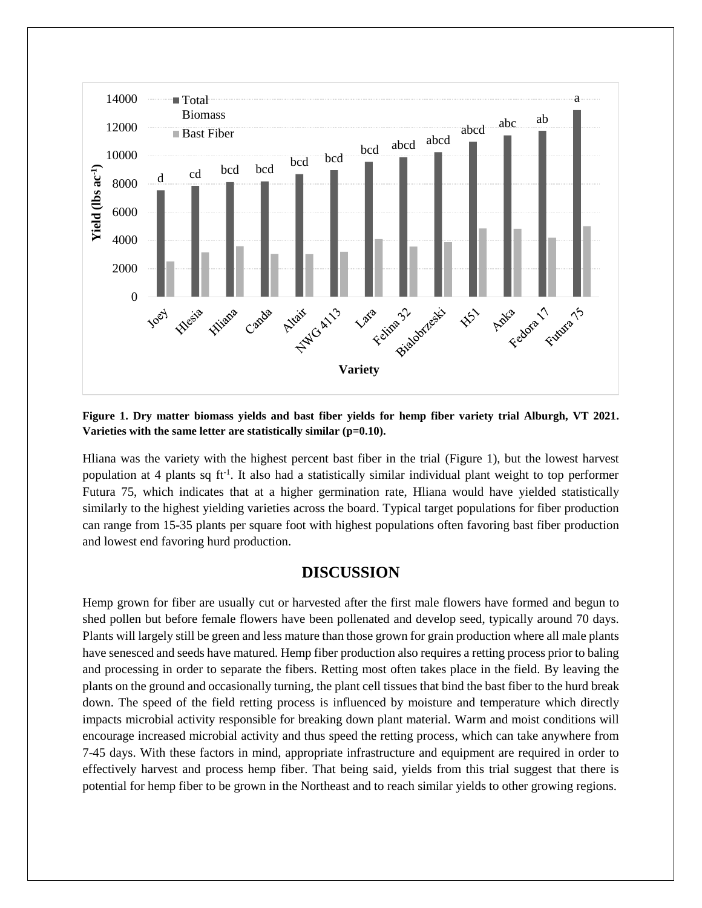

**Figure 1. Dry matter biomass yields and bast fiber yields for hemp fiber variety trial Alburgh, VT 2021. Varieties with the same letter are statistically similar (p=0.10).**

Hliana was the variety with the highest percent bast fiber in the trial (Figure 1), but the lowest harvest population at 4 plants sq ft<sup>-1</sup>. It also had a statistically similar individual plant weight to top performer Futura 75, which indicates that at a higher germination rate, Hliana would have yielded statistically similarly to the highest yielding varieties across the board. Typical target populations for fiber production can range from 15-35 plants per square foot with highest populations often favoring bast fiber production and lowest end favoring hurd production.

## **DISCUSSION**

Hemp grown for fiber are usually cut or harvested after the first male flowers have formed and begun to shed pollen but before female flowers have been pollenated and develop seed, typically around 70 days. Plants will largely still be green and less mature than those grown for grain production where all male plants have senesced and seeds have matured. Hemp fiber production also requires a retting process prior to baling and processing in order to separate the fibers. Retting most often takes place in the field. By leaving the plants on the ground and occasionally turning, the plant cell tissues that bind the bast fiber to the hurd break down. The speed of the field retting process is influenced by moisture and temperature which directly impacts microbial activity responsible for breaking down plant material. Warm and moist conditions will encourage increased microbial activity and thus speed the retting process, which can take anywhere from 7-45 days. With these factors in mind, appropriate infrastructure and equipment are required in order to effectively harvest and process hemp fiber. That being said, yields from this trial suggest that there is potential for hemp fiber to be grown in the Northeast and to reach similar yields to other growing regions.